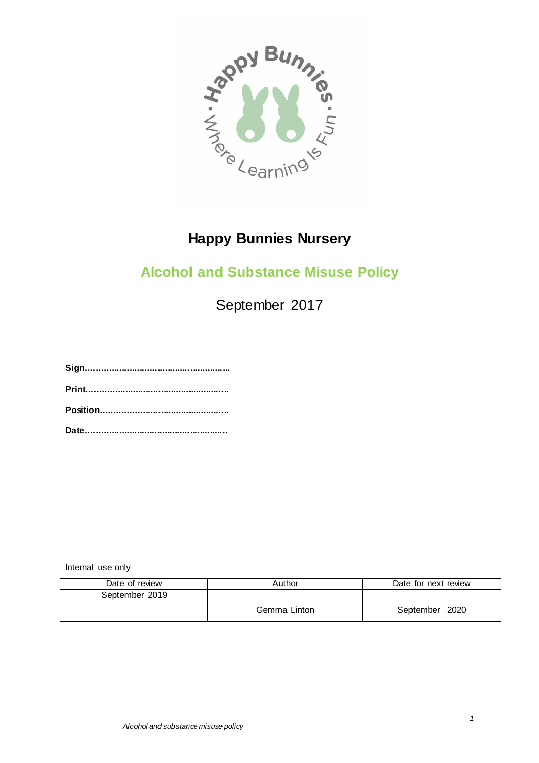

# **Happy Bunnies Nursery**

## **Alcohol and Substance Misuse Policy**

September 2017

**Sign.........................................................**

**Print........................................................**

**Position..................................................**

**Date........................................................**

Internal use only

| Date of review | Author       | Date for next review |
|----------------|--------------|----------------------|
| September 2019 |              |                      |
|                | Gemma Linton | September 2020       |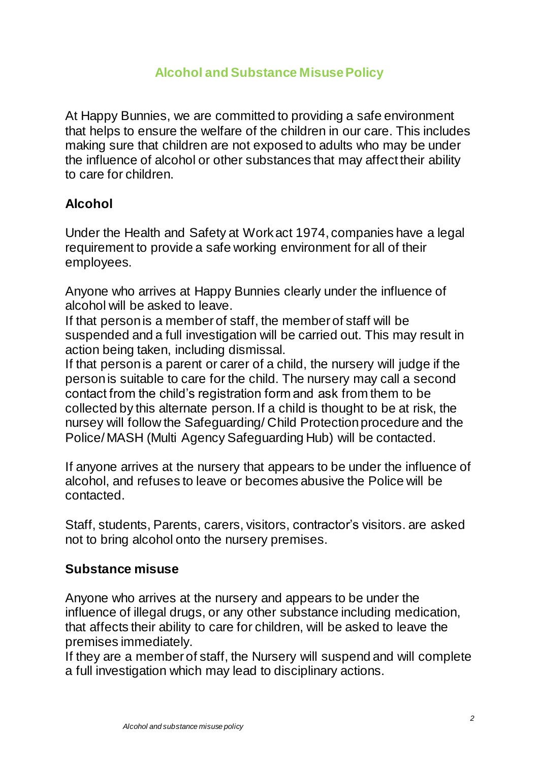### **Alcohol and Substance Misuse Policy**

At Happy Bunnies, we are committed to providing a safe environment that helps to ensure the welfare of the children in our care. This includes making sure that children are not exposed to adults who may be under the influence of alcohol or other substances that may affect their ability to care for children.

#### **Alcohol**

Under the Health and Safety at Work act 1974, companies have a legal requirement to provide a safe working environment for all of their employees.

Anyone who arrives at Happy Bunnies clearly under the influence of alcohol will be asked to leave.

If that person is a member of staff, the member of staff will be suspended and a full investigation will be carried out. This may result in action being taken, including dismissal.

If that person is a parent or carer of a child, the nursery will judge if the person is suitable to care for the child. The nursery may call a second contact from the child's registration form and ask from them to be collected by this alternate person. If a child is thought to be at risk, the nursey will follow the Safeguarding/ Child Protection procedure and the Police/ MASH (Multi Agency Safeguarding Hub) will be contacted.

If anyone arrives at the nursery that appears to be under the influence of alcohol, and refuses to leave or becomes abusive the Police will be contacted.

Staff, students, Parents, carers, visitors, contractor's visitors. are asked not to bring alcohol onto the nursery premises.

#### **Substance misuse**

Anyone who arrives at the nursery and appears to be under the influence of illegal drugs, or any other substance including medication, that affects their ability to care for children, will be asked to leave the premises immediately.

If they are a member of staff, the Nursery will suspend and will complete a full investigation which may lead to disciplinary actions.